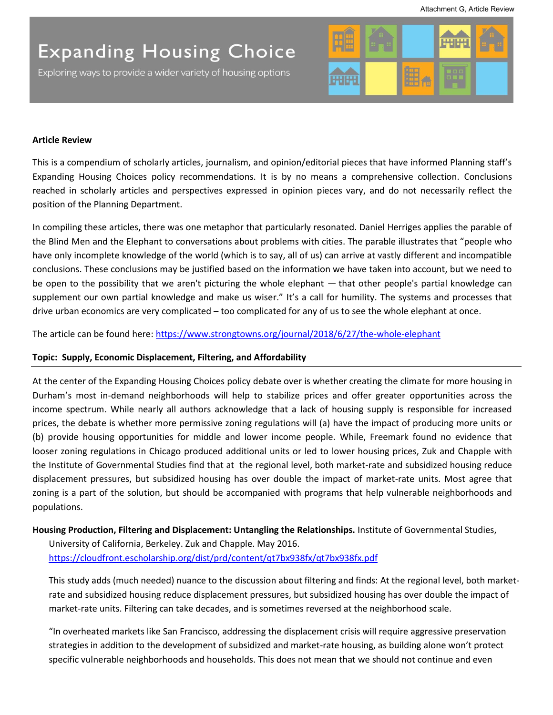Exploring ways to provide a wider variety of housing options



### **Article Review**

This is a compendium of scholarly articles, journalism, and opinion/editorial pieces that have informed Planning staff's Expanding Housing Choices policy recommendations. It is by no means a comprehensive collection. Conclusions reached in scholarly articles and perspectives expressed in opinion pieces vary, and do not necessarily reflect the position of the Planning Department.

In compiling these articles, there was one metaphor that particularly resonated. Daniel Herriges applies the parable of the Blind Men and the Elephant to conversations about problems with cities. The parable illustrates that "people who have only incomplete knowledge of the world (which is to say, all of us) can arrive at vastly different and incompatible conclusions. These conclusions may be justified based on the information we have taken into account, but we need to be open to the possibility that we aren't picturing the whole elephant — that other people's partial knowledge can supplement our own partial knowledge and make us wiser." It's a call for humility. The systems and processes that drive urban economics are very complicated – too complicated for any of us to see the whole elephant at once.

The article can be found here:<https://www.strongtowns.org/journal/2018/6/27/the-whole-elephant>

### **Topic: Supply, Economic Displacement, Filtering, and Affordability**

At the center of the Expanding Housing Choices policy debate over is whether creating the climate for more housing in Durham's most in-demand neighborhoods will help to stabilize prices and offer greater opportunities across the income spectrum. While nearly all authors acknowledge that a lack of housing supply is responsible for increased prices, the debate is whether more permissive zoning regulations will (a) have the impact of producing more units or (b) provide housing opportunities for middle and lower income people. While, Freemark found no evidence that looser zoning regulations in Chicago produced additional units or led to lower housing prices, Zuk and Chapple with the Institute of Governmental Studies find that at the regional level, both market-rate and subsidized housing reduce displacement pressures, but subsidized housing has over double the impact of market-rate units. Most agree that zoning is a part of the solution, but should be accompanied with programs that help vulnerable neighborhoods and populations.

**Housing Production, Filtering and Displacement: Untangling the Relationships.** Institute of Governmental Studies,

University of California, Berkeley. Zuk and Chapple. May 2016. <https://cloudfront.escholarship.org/dist/prd/content/qt7bx938fx/qt7bx938fx.pdf>

This study adds (much needed) nuance to the discussion about filtering and finds: At the regional level, both marketrate and subsidized housing reduce displacement pressures, but subsidized housing has over double the impact of market-rate units. Filtering can take decades, and is sometimes reversed at the neighborhood scale.

"In overheated markets like San Francisco, addressing the displacement crisis will require aggressive preservation strategies in addition to the development of subsidized and market-rate housing, as building alone won't protect specific vulnerable neighborhoods and households. This does not mean that we should not continue and even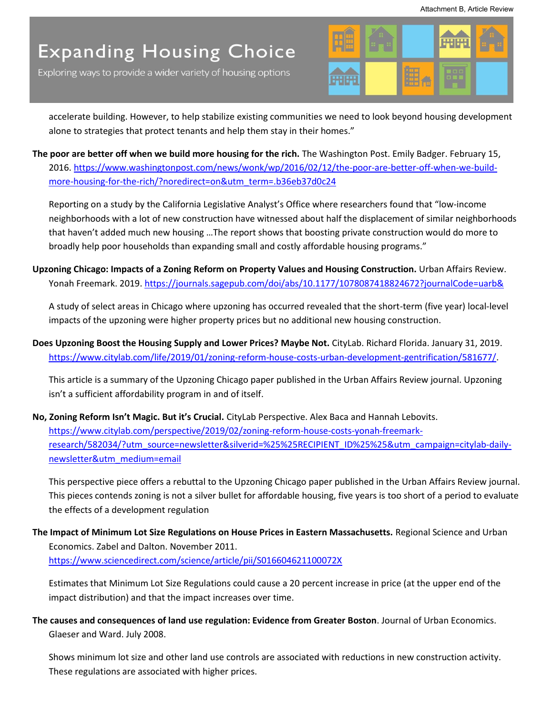Exploring ways to provide a wider variety of housing options



accelerate building. However, to help stabilize existing communities we need to look beyond housing development alone to strategies that protect tenants and help them stay in their homes."

**The poor are better off when we build more housing for the rich.** The Washington Post. Emily Badger. February 15, 2016[. https://www.washingtonpost.com/news/wonk/wp/2016/02/12/the-poor-are-better-off-when-we-build](https://www.washingtonpost.com/news/wonk/wp/2016/02/12/the-poor-are-better-off-when-we-build-more-housing-for-the-rich/?noredirect=on&utm_term=.b36eb37d0c24)more-housing-for-the-rich/?noredirect=on&utm\_term=.b36eb37d0c24

Reporting on a study by the California Legislative Analyst's Office where researchers found that "low-income neighborhoods with a lot of new construction have witnessed about half the displacement of similar neighborhoods that haven't added much new housing …The report shows that boosting private construction would do more to broadly help poor households than expanding small and costly affordable housing programs."

**Upzoning Chicago: Impacts of a Zoning Reform on Property Values and Housing Construction.** Urban Affairs Review. Yonah Freemark. 2019.<https://journals.sagepub.com/doi/abs/10.1177/1078087418824672?journalCode=uarb&>

A study of select areas in Chicago where upzoning has occurred revealed that the short-term (five year) local-level impacts of the upzoning were higher property prices but no additional new housing construction.

**Does Upzoning Boost the Housing Supply and Lower Prices? Maybe Not.** CityLab. Richard Florida. January 31, 2019. [https://www.citylab.com/life/2019/01/zoning-reform-house-costs-urban-development-gentrification/581677/.](https://www.citylab.com/life/2019/01/zoning-reform-house-costs-urban-development-gentrification/581677/)

This article is a summary of the Upzoning Chicago paper published in the Urban Affairs Review journal. Upzoning isn't a sufficient affordability program in and of itself.

**No, Zoning Reform Isn't Magic. But it's Crucial.** CityLab Perspective. Alex Baca and Hannah Lebovits. [https://www.citylab.com/perspective/2019/02/zoning-reform-house-costs-yonah-freemark](https://www.citylab.com/perspective/2019/02/zoning-reform-house-costs-yonah-freemark-research/582034/?utm_source=newsletter&silverid=%25%25RECIPIENT_ID%25%25&utm_campaign=citylab-daily-newsletter&utm_medium=email)[research/582034/?utm\\_source=newsletter&silverid=%25%25RECIPIENT\\_ID%25%25&utm\\_campaign=citylab-daily](https://www.citylab.com/perspective/2019/02/zoning-reform-house-costs-yonah-freemark-research/582034/?utm_source=newsletter&silverid=%25%25RECIPIENT_ID%25%25&utm_campaign=citylab-daily-newsletter&utm_medium=email)[newsletter&utm\\_medium=email](https://www.citylab.com/perspective/2019/02/zoning-reform-house-costs-yonah-freemark-research/582034/?utm_source=newsletter&silverid=%25%25RECIPIENT_ID%25%25&utm_campaign=citylab-daily-newsletter&utm_medium=email) 

This perspective piece offers a rebuttal to the Upzoning Chicago paper published in the Urban Affairs Review journal. This pieces contends zoning is not a silver bullet for affordable housing, five years is too short of a period to evaluate the effects of a development regulation

**The Impact of Minimum Lot Size Regulations on House Prices in Eastern Massachusetts.** Regional Science and Urban Economics. Zabel and Dalton. November 2011. <https://www.sciencedirect.com/science/article/pii/S016604621100072X>

Estimates that Minimum Lot Size Regulations could cause a 20 percent increase in price (at the upper end of the impact distribution) and that the impact increases over time.

**The causes and consequences of land use regulation: Evidence from Greater Boston**. Journal of Urban Economics. Glaeser and Ward. July 2008.

Shows minimum lot size and other land use controls are associated with reductions in new construction activity. These regulations are associated with higher prices.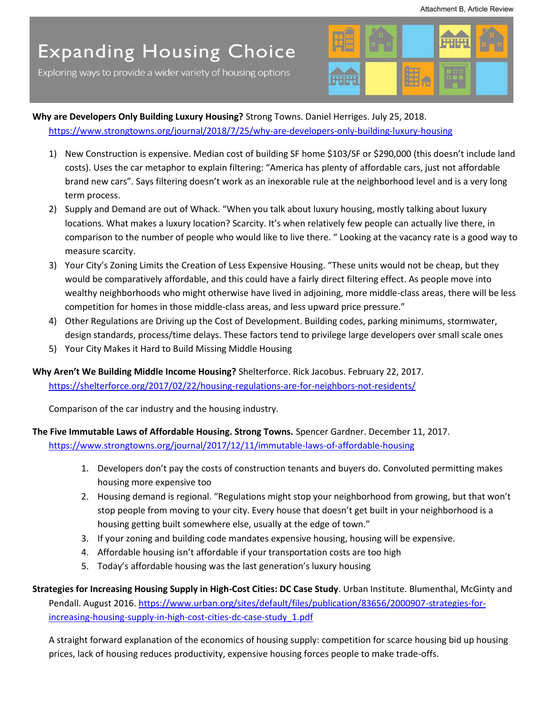Exploring ways to provide a wider variety of housing options



**Why are Developers Only Building Luxury Housing?** Strong Towns. Daniel Herriges. July 25, 2018. <https://www.strongtowns.org/journal/2018/7/25/why-are-developers-only-building-luxury-housing>

- 1) New Construction is expensive. Median cost of building SF home \$103/SF or \$290,000 (this doesn't include land costs). Uses the car metaphor to explain filtering: "America has plenty of affordable cars, just not affordable brand new cars". Says filtering doesn't work as an inexorable rule at the neighborhood level and is a very long term process.
- 2) Supply and Demand are out of Whack. "When you talk about luxury housing, mostly talking about luxury locations. What makes a luxury location? Scarcity. It's when relatively few people can actually live there, in comparison to the number of people who would like to live there. " Looking at the vacancy rate is a good way to measure scarcity.
- 3) Your City's Zoning Limits the Creation of Less Expensive Housing. "These units would not be cheap, but they would be comparatively affordable, and this could have a fairly direct filtering effect. As people move into wealthy neighborhoods who might otherwise have lived in adjoining, more middle-class areas, there will be less competition for homes in those middle-class areas, and less upward price pressure."
- 4) Other Regulations are Driving up the Cost of Development. Building codes, parking minimums, stormwater, design standards, process/time delays. These factors tend to privilege large developers over small scale ones
- 5) Your City Makes it Hard to Build Missing Middle Housing

**Why Aren't We Building Middle Income Housing?** Shelterforce. Rick Jacobus. February 22, 2017. <https://shelterforce.org/2017/02/22/housing-regulations-are-for-neighbors-not-residents/>

Comparison of the car industry and the housing industry.

**The Five Immutable Laws of Affordable Housing. Strong Towns.** Spencer Gardner. December 11, 2017. <https://www.strongtowns.org/journal/2017/12/11/immutable-laws-of-affordable-housing>

- 1. Developers don't pay the costs of construction tenants and buyers do. Convoluted permitting makes housing more expensive too
- 2. Housing demand is regional. "Regulations might stop your neighborhood from growing, but that won't stop people from moving to your city. Every house that doesn't get built in your neighborhood is a housing getting built somewhere else, usually at the edge of town."
- 3. If your zoning and building code mandates expensive housing, housing will be expensive.
- 4. Affordable housing isn't affordable if your transportation costs are too high
- 5. Today's affordable housing was the last generation's luxury housing

**Strategies for Increasing Housing Supply in High-Cost Cities: DC Case Study**. Urban Institute. Blumenthal, McGinty and Pendall. August 2016[. https://www.urban.org/sites/default/files/publication/83656/2000907-strategies-for](https://www.urban.org/sites/default/files/publication/83656/2000907-strategies-for-increasing-housing-supply-in-high-cost-cities-dc-case-study_1.pdf)[increasing-housing-supply-in-high-cost-cities-dc-case-study\\_1.pdf](https://www.urban.org/sites/default/files/publication/83656/2000907-strategies-for-increasing-housing-supply-in-high-cost-cities-dc-case-study_1.pdf) 

A straight forward explanation of the economics of housing supply: competition for scarce housing bid up housing prices, lack of housing reduces productivity, expensive housing forces people to make trade-offs.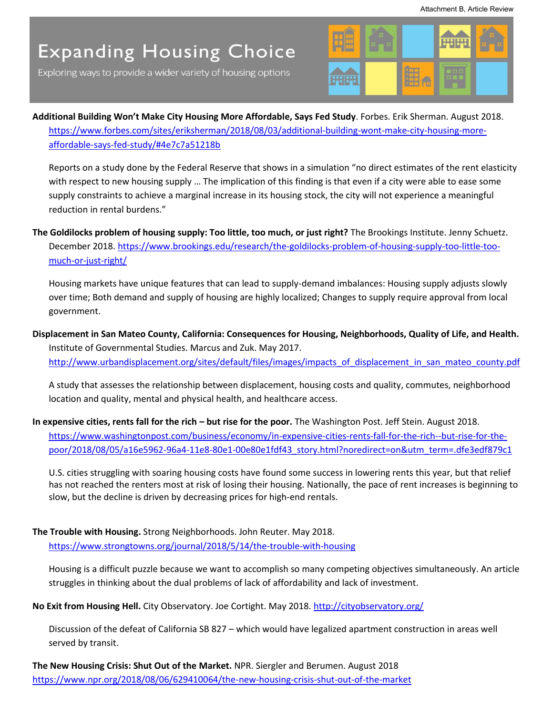Exploring ways to provide a wider variety of housing options



**Additional Building Won't Make City Housing More Affordable, Says Fed Study**. Forbes. Erik Sherman. August 2018. [https://www.forbes.com/sites/eriksherman/2018/08/03/additional-building-wont-make-city-housing-more](https://www.forbes.com/sites/eriksherman/2018/08/03/additional-building-wont-make-city-housing-more-affordable-says-fed-study/#4e7c7a51218b)[affordable-says-fed-study/#4e7c7a51218b](https://www.forbes.com/sites/eriksherman/2018/08/03/additional-building-wont-make-city-housing-more-affordable-says-fed-study/#4e7c7a51218b) 

Reports on a study done by the Federal Reserve that shows in a simulation "no direct estimates of the rent elasticity with respect to new housing supply … The implication of this finding is that even if a city were able to ease some supply constraints to achieve a marginal increase in its housing stock, the city will not experience a meaningful reduction in rental burdens."

**The Goldilocks problem of housing supply: Too little, too much, or just right?** The Brookings Institute. Jenny Schuetz. December 2018. [https://www.brookings.edu/research/the-goldilocks-problem-of-housing-supply-too-little-too](https://www.brookings.edu/research/the-goldilocks-problem-of-housing-supply-too-little-too-much-or-just-right/)[much-or-just-right/](https://www.brookings.edu/research/the-goldilocks-problem-of-housing-supply-too-little-too-much-or-just-right/)

Housing markets have unique features that can lead to supply-demand imbalances: Housing supply adjusts slowly over time; Both demand and supply of housing are highly localized; Changes to supply require approval from local government.

**Displacement in San Mateo County, California: Consequences for Housing, Neighborhoods, Quality of Life, and Health.**  Institute of Governmental Studies. Marcus and Zuk. May 2017. http://www.urbandisplacement.org/sites/default/files/images/impacts\_of\_displacement\_in\_san\_mateo\_county.pdf

A study that assesses the relationship between displacement, housing costs and quality, commutes, neighborhood location and quality, mental and physical health, and healthcare access.

In expensive cities, rents fall for the rich – but rise for the poor. The Washington Post. Jeff Stein. August 2018. [https://www.washingtonpost.com/business/economy/in-expensive-cities-rents-fall-for-the-rich--but-rise-for-the](https://www.washingtonpost.com/business/economy/in-expensive-cities-rents-fall-for-the-rich--but-rise-for-the-poor/2018/08/05/a16e5962-96a4-11e8-80e1-00e80e1fdf43_story.html?noredirect=on&utm_term=.dfe3edf879c1)[poor/2018/08/05/a16e5962-96a4-11e8-80e1-00e80e1fdf43\\_story.html?noredirect=on&utm\\_term=.dfe3edf879c1](https://www.washingtonpost.com/business/economy/in-expensive-cities-rents-fall-for-the-rich--but-rise-for-the-poor/2018/08/05/a16e5962-96a4-11e8-80e1-00e80e1fdf43_story.html?noredirect=on&utm_term=.dfe3edf879c1) 

U.S. cities struggling with soaring housing costs have found some success in lowering rents this year, but that relief has not reached the renters most at risk of losing their housing. Nationally, the pace of rent increases is beginning to slow, but the decline is driven by decreasing prices for high-end rentals.

### **The Trouble with Housing.** Strong Neighborhoods. John Reuter. May 2018.

<https://www.strongtowns.org/journal/2018/5/14/the-trouble-with-housing>

Housing is a difficult puzzle because we want to accomplish so many competing objectives simultaneously. An article struggles in thinking about the dual problems of lack of affordability and lack of investment.

**No Exit from Housing Hell.** City Observatory. Joe Cortight. May 2018.<http://cityobservatory.org/>

Discussion of the defeat of California SB 827 – which would have legalized apartment construction in areas well served by transit.

**The New Housing Crisis: Shut Out of the Market.** NPR. Siergler and Berumen. August 2018 <https://www.npr.org/2018/08/06/629410064/the-new-housing-crisis-shut-out-of-the-market>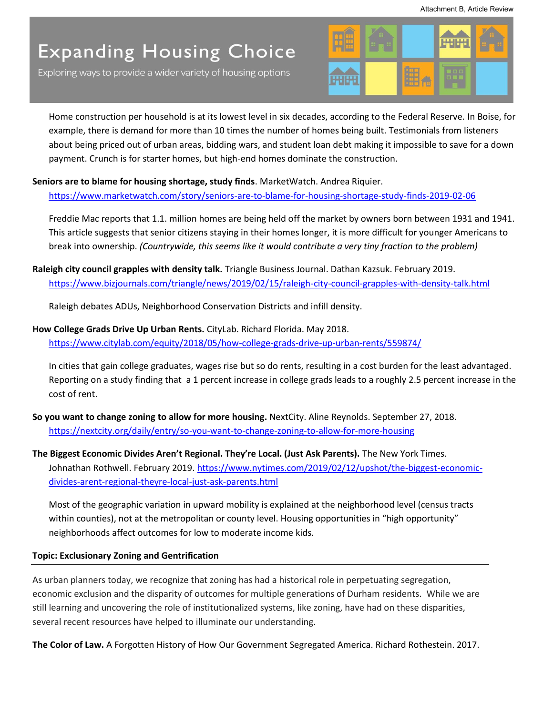Exploring ways to provide a wider variety of housing options



Home construction per household is at its lowest level in six decades, according to the Federal Reserve. In Boise, for example, there is demand for more than 10 times the number of homes being built. Testimonials from listeners about being priced out of urban areas, bidding wars, and student loan debt making it impossible to save for a down payment. Crunch is for starter homes, but high-end homes dominate the construction.

### **Seniors are to blame for housing shortage, study finds**. MarketWatch. Andrea Riquier.

<https://www.marketwatch.com/story/seniors-are-to-blame-for-housing-shortage-study-finds-2019-02-06>

Freddie Mac reports that 1.1. million homes are being held off the market by owners born between 1931 and 1941. This article suggests that senior citizens staying in their homes longer, it is more difficult for younger Americans to break into ownership. *(Countrywide, this seems like it would contribute a very tiny fraction to the problem)* 

**Raleigh city council grapples with density talk.** Triangle Business Journal. Dathan Kazsuk. February 2019. <https://www.bizjournals.com/triangle/news/2019/02/15/raleigh-city-council-grapples-with-density-talk.html>

Raleigh debates ADUs, Neighborhood Conservation Districts and infill density.

## **How College Grads Drive Up Urban Rents.** CityLab. Richard Florida. May 2018.

<https://www.citylab.com/equity/2018/05/how-college-grads-drive-up-urban-rents/559874/>

In cities that gain college graduates, wages rise but so do rents, resulting in a cost burden for the least advantaged. Reporting on a study finding that a 1 percent increase in college grads leads to a roughly 2.5 percent increase in the cost of rent.

**So you want to change zoning to allow for more housing.** NextCity. Aline Reynolds. September 27, 2018. <https://nextcity.org/daily/entry/so-you-want-to-change-zoning-to-allow-for-more-housing>

**The Biggest Economic Divides Aren't Regional. They're Local. (Just Ask Parents).** The New York Times. Johnathan Rothwell. February 2019. [https://www.nytimes.com/2019/02/12/upshot/the-biggest-economic](https://www.nytimes.com/2019/02/12/upshot/the-biggest-economic-divides-arent-regional-theyre-local-just-ask-parents.html)[divides-arent-regional-theyre-local-just-ask-parents.html](https://www.nytimes.com/2019/02/12/upshot/the-biggest-economic-divides-arent-regional-theyre-local-just-ask-parents.html) 

Most of the geographic variation in upward mobility is explained at the neighborhood level (census tracts within counties), not at the metropolitan or county level. Housing opportunities in "high opportunity" neighborhoods affect outcomes for low to moderate income kids.

### **Topic: Exclusionary Zoning and Gentrification**

As urban planners today, we recognize that zoning has had a historical role in perpetuating segregation, economic exclusion and the disparity of outcomes for multiple generations of Durham residents. While we are still learning and uncovering the role of institutionalized systems, like zoning, have had on these disparities, several recent resources have helped to illuminate our understanding.

**The Color of Law.** A Forgotten History of How Our Government Segregated America. Richard Rothestein. 2017.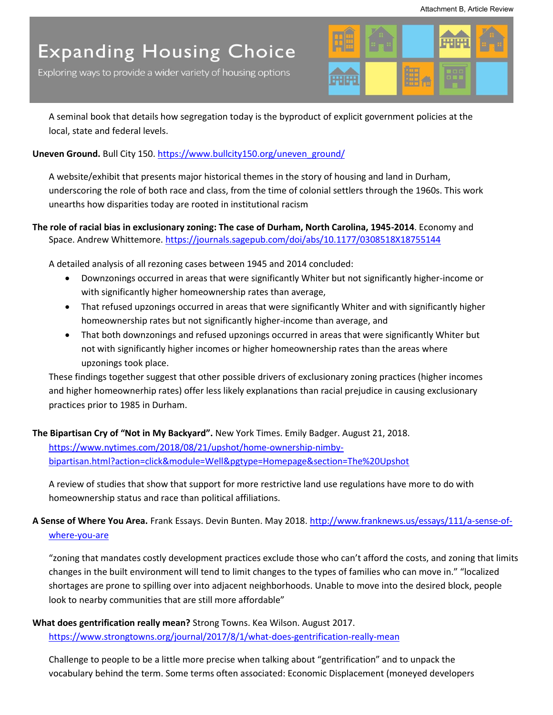Exploring ways to provide a wider variety of housing options



A seminal book that details how segregation today is the byproduct of explicit government policies at the local, state and federal levels.

### **Uneven Ground.** Bull City 150[. https://www.bullcity150.org/uneven\\_ground/](https://www.bullcity150.org/uneven_ground/)

A website/exhibit that presents major historical themes in the story of housing and land in Durham, underscoring the role of both race and class, from the time of colonial settlers through the 1960s. This work unearths how disparities today are rooted in institutional racism

### **The role of racial bias in exclusionary zoning: The case of Durham, North Carolina, 1945-2014**. Economy and Space. Andrew Whittemore.<https://journals.sagepub.com/doi/abs/10.1177/0308518X18755144>

A detailed analysis of all rezoning cases between 1945 and 2014 concluded:

- Downzonings occurred in areas that were significantly Whiter but not significantly higher-income or with significantly higher homeownership rates than average,
- That refused upzonings occurred in areas that were significantly Whiter and with significantly higher homeownership rates but not significantly higher-income than average, and
- That both downzonings and refused upzonings occurred in areas that were significantly Whiter but not with significantly higher incomes or higher homeownership rates than the areas where upzonings took place.

These findings together suggest that other possible drivers of exclusionary zoning practices (higher incomes and higher homeownerhip rates) offer less likely explanations than racial prejudice in causing exclusionary practices prior to 1985 in Durham.

### **The Bipartisan Cry of "Not in My Backyard".** New York Times. Emily Badger. August 21, 2018. [https://www.nytimes.com/2018/08/21/upshot/home-ownership-nimby](https://www.nytimes.com/2018/08/21/upshot/home-ownership-nimby-bipartisan.html?action=click&module=Well&pgtype=Homepage§ion=The%20Upshot)[bipartisan.html?action=click&module=Well&pgtype=Homepage&section=The%20Upshot](https://www.nytimes.com/2018/08/21/upshot/home-ownership-nimby-bipartisan.html?action=click&module=Well&pgtype=Homepage§ion=The%20Upshot)

A review of studies that show that support for more restrictive land use regulations have more to do with homeownership status and race than political affiliations.

## **A Sense of Where You Area.** Frank Essays. Devin Bunten. May 2018. [http://www.franknews.us/essays/111/a-sense-of](http://www.franknews.us/essays/111/a-sense-of-where-you-are)[where-you-are](http://www.franknews.us/essays/111/a-sense-of-where-you-are)

"zoning that mandates costly development practices exclude those who can't afford the costs, and zoning that limits changes in the built environment will tend to limit changes to the types of families who can move in." "localized shortages are prone to spilling over into adjacent neighborhoods. Unable to move into the desired block, people look to nearby communities that are still more affordable"

## **What does gentrification really mean?** Strong Towns. Kea Wilson. August 2017.

<https://www.strongtowns.org/journal/2017/8/1/what-does-gentrification-really-mean>

Challenge to people to be a little more precise when talking about "gentrification" and to unpack the vocabulary behind the term. Some terms often associated: Economic Displacement (moneyed developers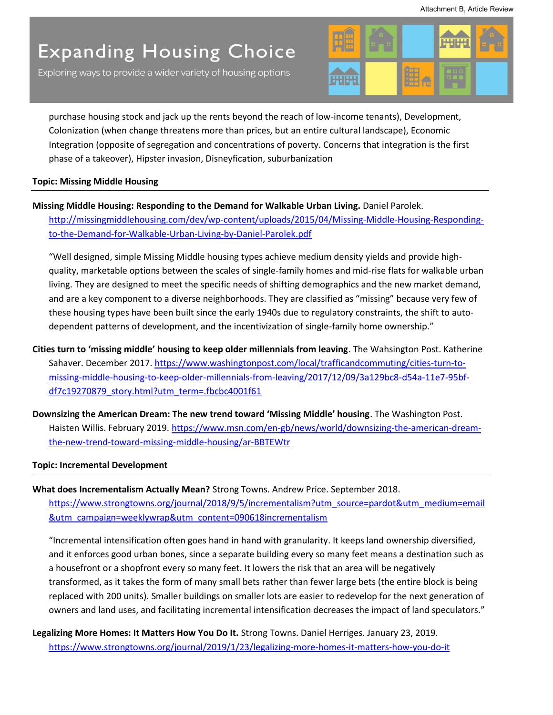Exploring ways to provide a wider variety of housing options



purchase housing stock and jack up the rents beyond the reach of low-income tenants), Development, Colonization (when change threatens more than prices, but an entire cultural landscape), Economic Integration (opposite of segregation and concentrations of poverty. Concerns that integration is the first phase of a takeover), Hipster invasion, Disneyfication, suburbanization

### **Topic: Missing Middle Housing**

### **Missing Middle Housing: Responding to the Demand for Walkable Urban Living.** Daniel Parolek.

[http://missingmiddlehousing.com/dev/wp-content/uploads/2015/04/Missing-Middle-Housing-Responding](http://missingmiddlehousing.com/dev/wp-content/uploads/2015/04/Missing-Middle-Housing-Responding-to-the-Demand-for-Walkable-Urban-Living-by-Daniel-Parolek.pdf)[to-the-Demand-for-Walkable-Urban-Living-by-Daniel-Parolek.pdf](http://missingmiddlehousing.com/dev/wp-content/uploads/2015/04/Missing-Middle-Housing-Responding-to-the-Demand-for-Walkable-Urban-Living-by-Daniel-Parolek.pdf) 

"Well designed, simple Missing Middle housing types achieve medium density yields and provide highquality, marketable options between the scales of single-family homes and mid-rise flats for walkable urban living. They are designed to meet the specific needs of shifting demographics and the new market demand, and are a key component to a diverse neighborhoods. They are classified as "missing" because very few of these housing types have been built since the early 1940s due to regulatory constraints, the shift to autodependent patterns of development, and the incentivization of single-family home ownership."

- **Cities turn to 'missing middle' housing to keep older millennials from leaving**. The Wahsington Post. Katherine Sahaver. December 2017. [https://www.washingtonpost.com/local/trafficandcommuting/cities-turn-to](https://www.washingtonpost.com/local/trafficandcommuting/cities-turn-to-missing-middle-housing-to-keep-older-millennials-from-leaving/2017/12/09/3a129bc8-d54a-11e7-95bf-df7c19270879_story.html?utm_term=.fbcbc4001f61)[missing-middle-housing-to-keep-older-millennials-from-leaving/2017/12/09/3a129bc8-d54a-11e7-95bf](https://www.washingtonpost.com/local/trafficandcommuting/cities-turn-to-missing-middle-housing-to-keep-older-millennials-from-leaving/2017/12/09/3a129bc8-d54a-11e7-95bf-df7c19270879_story.html?utm_term=.fbcbc4001f61)df7c19270879\_story.html?utm\_term=.fbcbc4001f61
- **Downsizing the American Dream: The new trend toward 'Missing Middle' housing**. The Washington Post. Haisten Willis. February 2019. [https://www.msn.com/en-gb/news/world/downsizing-the-american-dream](https://www.msn.com/en-gb/news/world/downsizing-the-american-dream-the-new-trend-toward-missing-middle-housing/ar-BBTEWtr)[the-new-trend-toward-missing-middle-housing/ar-BBTEWtr](https://www.msn.com/en-gb/news/world/downsizing-the-american-dream-the-new-trend-toward-missing-middle-housing/ar-BBTEWtr)

### **Topic: Incremental Development**

**What does Incrementalism Actually Mean?** Strong Towns. Andrew Price. September 2018. [https://www.strongtowns.org/journal/2018/9/5/incrementalism?utm\\_source=pardot&utm\\_medium=email](https://www.strongtowns.org/journal/2018/9/5/incrementalism?utm_source=pardot&utm_medium=email&utm_campaign=weeklywrap&utm_content=090618incrementalism) [&utm\\_campaign=weeklywrap&utm\\_content=090618incrementalism](https://www.strongtowns.org/journal/2018/9/5/incrementalism?utm_source=pardot&utm_medium=email&utm_campaign=weeklywrap&utm_content=090618incrementalism)

"Incremental intensification often goes hand in hand with [granularity.](http://andrewalexanderprice.com/blog20151021.php) It keeps land ownership diversified, and it enforces good urban bones, since a separate building every so many feet means a destination such as a housefront or a shopfront every so many feet. It lowers the risk that an area will be negatively transformed, as it takes the form of many small bets rather than fewer large bets (the entire block is being replaced with 200 units). Smaller buildings on smaller lots are easier to redevelop for the next generation of owners and land uses, and facilitating incremental intensification decreases the impact of land speculators."

## **Legalizing More Homes: It Matters How You Do It.** Strong Towns. Daniel Herriges. January 23, 2019. <https://www.strongtowns.org/journal/2019/1/23/legalizing-more-homes-it-matters-how-you-do-it>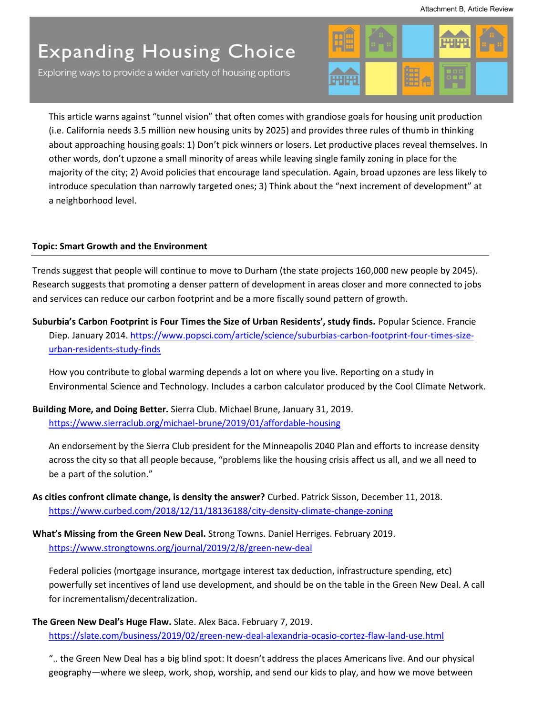Exploring ways to provide a wider variety of housing options



This article warns against "tunnel vision" that often comes with grandiose goals for housing unit production (i.e. California needs 3.5 million new housing units by 2025) and provides three rules of thumb in thinking about approaching housing goals: 1) Don't pick winners or losers. Let productive places reveal themselves. In other words, don't upzone a small minority of areas while leaving single family zoning in place for the majority of the city; 2) Avoid policies that encourage land speculation. Again, broad upzones are less likely to introduce speculation than narrowly targeted ones; 3) Think about the "next increment of development" at a neighborhood level.

### **Topic: Smart Growth and the Environment**

Trends suggest that people will continue to move to Durham (the state projects 160,000 new people by 2045). Research suggests that promoting a denser pattern of development in areas closer and more connected to jobs and services can reduce our carbon footprint and be a more fiscally sound pattern of growth.

**Suburbia's Carbon Footprint is Four Times the Size of Urban Residents', study finds.** Popular Science. Francie Diep. January 2014. [https://www.popsci.com/article/science/suburbias-carbon-footprint-four-times-size](https://www.popsci.com/article/science/suburbias-carbon-footprint-four-times-size-urban-residents-study-finds)[urban-residents-study-finds](https://www.popsci.com/article/science/suburbias-carbon-footprint-four-times-size-urban-residents-study-finds) 

How you contribute to global warming depends a lot on where you live. Reporting on a study in Environmental Science and Technology. Includes a carbon calculator produced by the Cool Climate Network.

**Building More, and Doing Better.** Sierra Club. Michael Brune, January 31, 2019. <https://www.sierraclub.org/michael-brune/2019/01/affordable-housing>

An endorsement by the Sierra Club president for the Minneapolis 2040 Plan and efforts to increase density across the city so that all people because, "problems like the housing crisis affect us all, and we all need to be a part of the solution."

- **As cities confront climate change, is density the answer?** Curbed. Patrick Sisson, December 11, 2018. <https://www.curbed.com/2018/12/11/18136188/city-density-climate-change-zoning>
- **What's Missing from the Green New Deal.** Strong Towns. Daniel Herriges. February 2019. <https://www.strongtowns.org/journal/2019/2/8/green-new-deal>

Federal policies (mortgage insurance, mortgage interest tax deduction, infrastructure spending, etc) powerfully set incentives of land use development, and should be on the table in the Green New Deal. A call for incrementalism/decentralization.

**The Green New Deal's Huge Flaw.** Slate. Alex Baca. February 7, 2019. <https://slate.com/business/2019/02/green-new-deal-alexandria-ocasio-cortez-flaw-land-use.html>

".. the Green New Deal has a big blind spot: It doesn't address the places Americans live. And our physical geography—where we sleep, work, shop, worship, and send our kids to play, and how we move between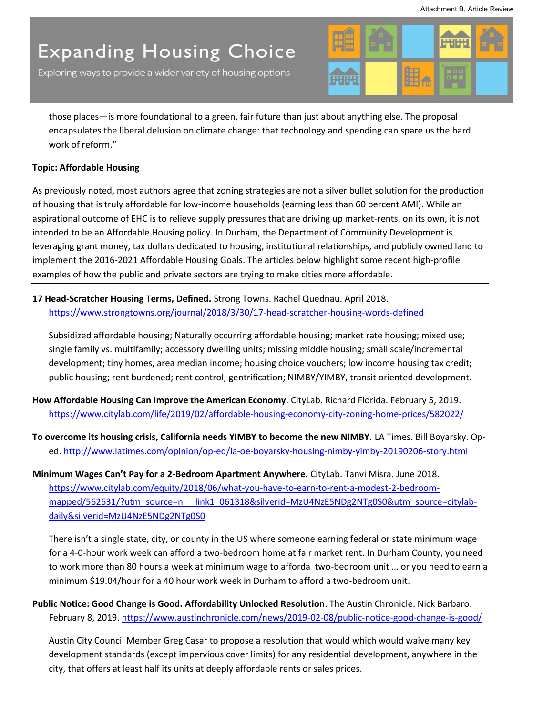Exploring ways to provide a wider variety of housing options



those places—is more foundational to a green, fair future than just about anything else. The proposal encapsulates the liberal delusion on climate change: that technology and spending can spare us the hard work of reform."

### **Topic: Affordable Housing**

As previously noted, most authors agree that zoning strategies are not a silver bullet solution for the production of housing that is truly affordable for low-income households (earning less than 60 percent AMI). While an aspirational outcome of EHC is to relieve supply pressures that are driving up market-rents, on its own, it is not intended to be an Affordable Housing policy. In Durham, the Department of Community Development is leveraging grant money, tax dollars dedicated to housing, institutional relationships, and publicly owned land to implement the 2016-2021 Affordable Housing Goals. The articles below highlight some recent high-profile examples of how the public and private sectors are trying to make cities more affordable.

**17 Head-Scratcher Housing Terms, Defined.** Strong Towns. Rachel Quednau. April 2018. <https://www.strongtowns.org/journal/2018/3/30/17-head-scratcher-housing-words-defined>

Subsidized affordable housing; Naturally occurring affordable housing; market rate housing; mixed use; single family vs. multifamily; accessory dwelling units; missing middle housing; small scale/incremental development; tiny homes, area median income; housing choice vouchers; low income housing tax credit; public housing; rent burdened; rent control; gentrification; NIMBY/YIMBY, transit oriented development.

- **How Affordable Housing Can Improve the American Economy**. CityLab. Richard Florida. February 5, 2019. <https://www.citylab.com/life/2019/02/affordable-housing-economy-city-zoning-home-prices/582022/>
- **To overcome its housing crisis, California needs YIMBY to become the new NIMBY.** LA Times. Bill Boyarsky. Oped[. http://www.latimes.com/opinion/op-ed/la-oe-boyarsky-housing-nimby-yimby-20190206-story.html](http://www.latimes.com/opinion/op-ed/la-oe-boyarsky-housing-nimby-yimby-20190206-story.html)

**Minimum Wages Can't Pay for a 2-Bedroom Apartment Anywhere.** CityLab. Tanvi Misra. June 2018. [https://www.citylab.com/equity/2018/06/what-you-have-to-earn-to-rent-a-modest-2-bedroom](https://www.citylab.com/equity/2018/06/what-you-have-to-earn-to-rent-a-modest-2-bedroom-mapped/562631/?utm_source=nl__link1_061318&silverid=MzU4NzE5NDg2NTg0S0&utm_source=citylab-daily&silverid=MzU4NzE5NDg2NTg0S0)mapped/562631/?utm\_source=nl link1\_061318&silverid=MzU4NzE5NDg2NTg0S0&utm\_source=citylab[daily&silverid=MzU4NzE5NDg2NTg0S0](https://www.citylab.com/equity/2018/06/what-you-have-to-earn-to-rent-a-modest-2-bedroom-mapped/562631/?utm_source=nl__link1_061318&silverid=MzU4NzE5NDg2NTg0S0&utm_source=citylab-daily&silverid=MzU4NzE5NDg2NTg0S0) 

There isn't a single state, city, or county in the US where someone earning federal or state minimum wage for a 4-0-hour work week can afford a two-bedroom home at fair market rent. In Durham County, you need to work more than 80 hours a week at minimum wage to afforda two-bedroom unit … or you need to earn a minimum \$19.04/hour for a 40 hour work week in Durham to afford a two-bedroom unit.

**Public Notice: Good Change is Good. Affordability Unlocked Resolution**. The Austin Chronicle. Nick Barbaro. February 8, 2019.<https://www.austinchronicle.com/news/2019-02-08/public-notice-good-change-is-good/>

Austin City Council Member Greg Casar to propose a resolution that would which would waive many key development standards (except impervious cover limits) for any residential development, anywhere in the city, that offers at least half its units at deeply affordable rents or sales prices.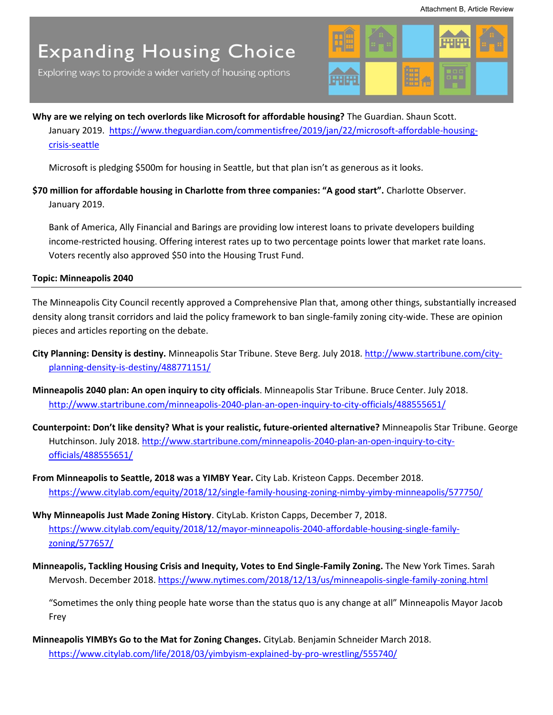Exploring ways to provide a wider variety of housing options



**Why are we relying on tech overlords like Microsoft for affordable housing?** The Guardian. Shaun Scott. January 2019. [https://www.theguardian.com/commentisfree/2019/jan/22/microsoft-affordable-housing](https://www.theguardian.com/commentisfree/2019/jan/22/microsoft-affordable-housing-crisis-seattle)[crisis-seattle](https://www.theguardian.com/commentisfree/2019/jan/22/microsoft-affordable-housing-crisis-seattle) 

Microsoft is pledging \$500m for housing in Seattle, but that plan isn't as generous as it looks.

**\$70 million for affordable housing in Charlotte from three companies: "A good start".** Charlotte Observer. January 2019.

Bank of America, Ally Financial and Barings are providing low interest loans to private developers building income-restricted housing. Offering interest rates up to two percentage points lower that market rate loans. Voters recently also approved \$50 into the Housing Trust Fund.

**Topic: Minneapolis 2040** 

The Minneapolis City Council recently approved a Comprehensive Plan that, among other things, substantially increased density along transit corridors and laid the policy framework to ban single-family zoning city-wide. These are opinion pieces and articles reporting on the debate.

- **City Planning: Density is destiny.** Minneapolis Star Tribune. Steve Berg. July 2018. [http://www.startribune.com/city](http://www.startribune.com/city-planning-density-is-destiny/488771151/)[planning-density-is-destiny/488771151/](http://www.startribune.com/city-planning-density-is-destiny/488771151/)
- **Minneapolis 2040 plan: An open inquiry to city officials**. Minneapolis Star Tribune. Bruce Center. July 2018. <http://www.startribune.com/minneapolis-2040-plan-an-open-inquiry-to-city-officials/488555651/>
- **Counterpoint: Don't like density? What is your realistic, future-oriented alternative?** Minneapolis Star Tribune. George Hutchinson. July 2018. [http://www.startribune.com/minneapolis-2040-plan-an-open-inquiry-to-city](http://www.startribune.com/minneapolis-2040-plan-an-open-inquiry-to-city-officials/488555651/)[officials/488555651/](http://www.startribune.com/minneapolis-2040-plan-an-open-inquiry-to-city-officials/488555651/)
- **From Minneapolis to Seattle, 2018 was a YIMBY Year.** City Lab. Kristeon Capps. December 2018. <https://www.citylab.com/equity/2018/12/single-family-housing-zoning-nimby-yimby-minneapolis/577750/>
- **Why Minneapolis Just Made Zoning History**. CityLab. Kriston Capps, December 7, 2018. [https://www.citylab.com/equity/2018/12/mayor-minneapolis-2040-affordable-housing-single-family](https://www.citylab.com/equity/2018/12/mayor-minneapolis-2040-affordable-housing-single-family-zoning/577657/)[zoning/577657/](https://www.citylab.com/equity/2018/12/mayor-minneapolis-2040-affordable-housing-single-family-zoning/577657/)
- **Minneapolis, Tackling Housing Crisis and Inequity, Votes to End Single-Family Zoning.** The New York Times. Sarah Mervosh. December 2018.<https://www.nytimes.com/2018/12/13/us/minneapolis-single-family-zoning.html>

"Sometimes the only thing people hate worse than the status quo is any change at all" Minneapolis Mayor Jacob Frey

**Minneapolis YIMBYs Go to the Mat for Zoning Changes.** CityLab. Benjamin Schneider March 2018. <https://www.citylab.com/life/2018/03/yimbyism-explained-by-pro-wrestling/555740/>